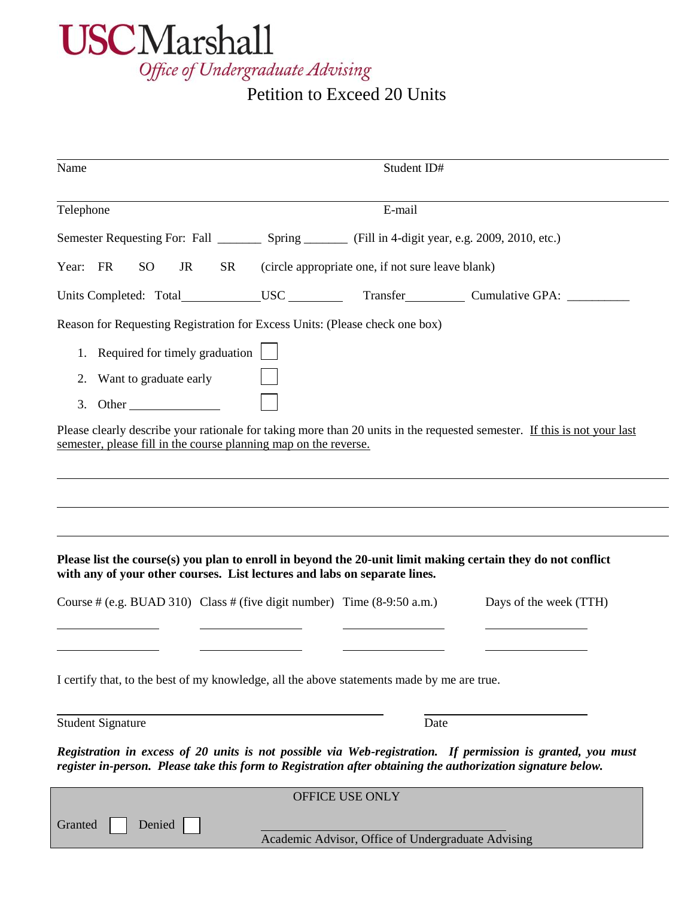

## Petition to Exceed 20 Units

| Name                                                                                              | Student ID#                                                                                                                                                                                                                              |                        |  |  |
|---------------------------------------------------------------------------------------------------|------------------------------------------------------------------------------------------------------------------------------------------------------------------------------------------------------------------------------------------|------------------------|--|--|
| Telephone                                                                                         | E-mail                                                                                                                                                                                                                                   |                        |  |  |
|                                                                                                   | Semester Requesting For: Fall ___________ Spring _________ (Fill in 4-digit year, e.g. 2009, 2010, etc.)                                                                                                                                 |                        |  |  |
| Year: FR<br><sub>SO</sub><br><b>SR</b><br>(circle appropriate one, if not sure leave blank)<br>JR |                                                                                                                                                                                                                                          |                        |  |  |
|                                                                                                   | Units Completed: Total___________USC ____________Transfer________________Cumulative GPA: __________                                                                                                                                      |                        |  |  |
| Reason for Requesting Registration for Excess Units: (Please check one box)                       |                                                                                                                                                                                                                                          |                        |  |  |
| Required for timely graduation<br>1.                                                              |                                                                                                                                                                                                                                          |                        |  |  |
| Want to graduate early<br>2.                                                                      |                                                                                                                                                                                                                                          |                        |  |  |
| 3. Other                                                                                          |                                                                                                                                                                                                                                          |                        |  |  |
| semester, please fill in the course planning map on the reverse.                                  | Please clearly describe your rationale for taking more than 20 units in the requested semester. If this is not your last<br>Please list the course(s) you plan to enroll in beyond the 20-unit limit making certain they do not conflict |                        |  |  |
| with any of your other courses. List lectures and labs on separate lines.                         |                                                                                                                                                                                                                                          |                        |  |  |
| Course # (e.g. BUAD 310) Class # (five digit number) Time $(8-9:50 \text{ a.m.})$                 |                                                                                                                                                                                                                                          | Days of the week (TTH) |  |  |
| I certify that, to the best of my knowledge, all the above statements made by me are true.        |                                                                                                                                                                                                                                          |                        |  |  |
|                                                                                                   |                                                                                                                                                                                                                                          |                        |  |  |
| <b>Student Signature</b>                                                                          | Date<br>Registration in excess of 20 units is not possible via Web-registration. If permission is granted, you must<br>register in-person. Please take this form to Registration after obtaining the authorization signature below.      |                        |  |  |
|                                                                                                   | OFFICE USE ONLY                                                                                                                                                                                                                          |                        |  |  |
| Denied<br>Granted                                                                                 | Academic Advisor, Office of Undergraduate Advising                                                                                                                                                                                       |                        |  |  |